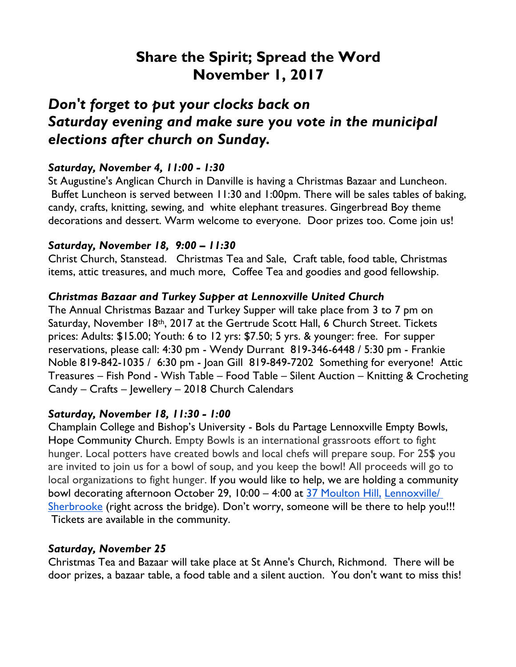# **Share the Spirit; Spread the Word November 1, 2017**

# *Don't forget to put your clocks back on Saturday evening and make sure you vote in the municipal elections after church on Sunday.*

## *Saturday, November 4, 11:00 - 1:30*

St Augustine's Anglican Church in Danville is having a Christmas Bazaar and Luncheon. Buffet Luncheon is served between 11:30 and 1:00pm. There will be sales tables of baking, candy, crafts, knitting, sewing, and white elephant treasures. Gingerbread Boy theme decorations and dessert. Warm welcome to everyone. Door prizes too. Come join us!

### *Saturday, November 18, 9:00 – 11:30*

Christ Church, Stanstead. Christmas Tea and Sale, Craft table, food table, Christmas items, attic treasures, and much more, Coffee Tea and goodies and good fellowship.

### *Christmas Bazaar and Turkey Supper at Lennoxville United Church*

The Annual Christmas Bazaar and Turkey Supper will take place from 3 to 7 pm on Saturday, November 18th, 2017 at the Gertrude Scott Hall, 6 Church Street. Tickets prices: Adults: \$15.00; Youth: 6 to 12 yrs: \$7.50; 5 yrs. & younger: free. For supper reservations, please call: 4:30 pm - Wendy Durrant 819-346-6448 / 5:30 pm - Frankie Noble 819-842-1035 / 6:30 pm - Joan Gill 819-849-7202 Something for everyone! Attic Treasures – Fish Pond - Wish Table – Food Table – Silent Auction – Knitting & Crocheting Candy – Crafts – Jewellery – 2018 Church Calendars

### *Saturday, November 18, 11:30 - 1:00*

Champlain College and Bishop's University - Bols du Partage Lennoxville Empty Bowls, Hope Community Church. Empty Bowls is an international grassroots effort to fight hunger. Local potters have created bowls and local chefs will prepare soup. For 25\$ you are invited to join us for a bowl of soup, and you keep the bowl! All proceeds will go to local organizations to fight hunger. If you would like to help, we are holding a community bowl decorating afternoon October 29, 10:00 – 4:00 at 37 Moulton Hill, Lennoxville/ Sherbrooke (right across the bridge). Don't worry, someone will be there to help you!!! Tickets are available in the community.

#### *Saturday, November 25*

Christmas Tea and Bazaar will take place at St Anne's Church, Richmond. There will be door prizes, a bazaar table, a food table and a silent auction. You don't want to miss this!